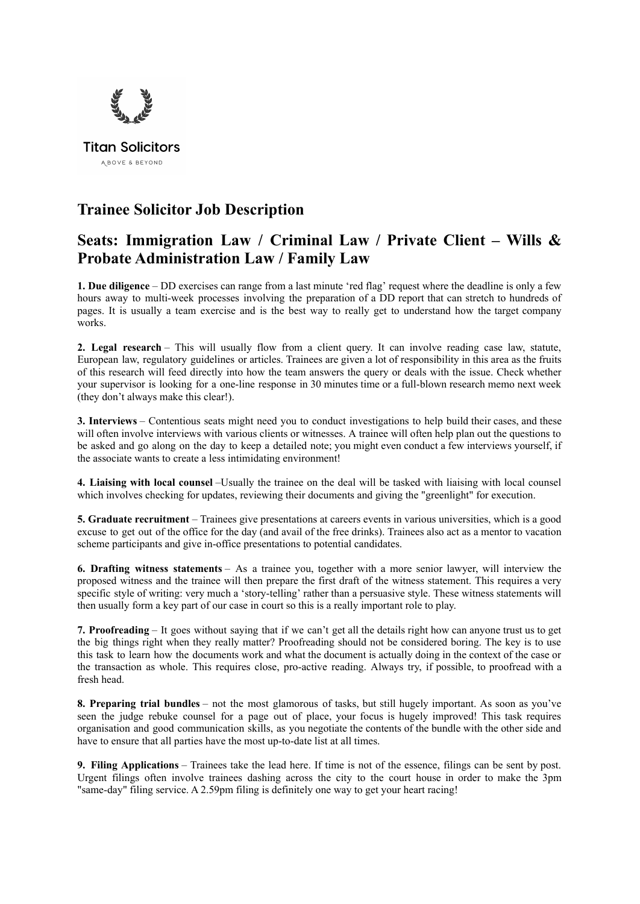

## **Trainee Solicitor Job Description**

## **Seats: Immigration Law / Criminal Law / Private Client – Wills & Probate Administration Law / Family Law**

**1. Due diligence** – DD exercises can range from a last minute 'red flag' request where the deadline is only a few hours away to multi-week processes involving the preparation of a DD report that can stretch to hundreds of pages. It is usually a team exercise and is the best way to really get to understand how the target company works.

**2. Legal research** – This will usually flow from a client query. It can involve reading case law, statute, European law, regulatory guidelines or articles. Trainees are given a lot of responsibility in this area as the fruits of this research will feed directly into how the team answers the query or deals with the issue. Check whether your supervisor is looking for a one-line response in 30 minutes time or a full-blown research memo next week (they don't always make this clear!).

**3. Interviews** – Contentious seats might need you to conduct investigations to help build their cases, and these will often involve interviews with various clients or witnesses. A trainee will often help plan out the questions to be asked and go along on the day to keep a detailed note; you might even conduct a few interviews yourself, if the associate wants to create a less intimidating environment!

**4. Liaising with local counsel** –Usually the trainee on the deal will be tasked with liaising with local counsel which involves checking for updates, reviewing their documents and giving the "greenlight" for execution.

**5. Graduate recruitment** – Trainees give presentations at careers events in various universities, which is a good excuse to get out of the office for the day (and avail of the free drinks). Trainees also act as a mentor to vacation scheme participants and give in-office presentations to potential candidates.

**6. Drafting witness statements** – As a trainee you, together with a more senior lawyer, will interview the proposed witness and the trainee will then prepare the first draft of the witness statement. This requires a very specific style of writing: very much a 'story-telling' rather than a persuasive style. These witness statements will then usually form a key part of our case in court so this is a really important role to play.

**7. Proofreading** – It goes without saying that if we can't get all the details right how can anyone trust us to get the big things right when they really matter? Proofreading should not be considered boring. The key is to use this task to learn how the documents work and what the document is actually doing in the context of the case or the transaction as whole. This requires close, pro-active reading. Always try, if possible, to proofread with a fresh head.

**8. Preparing trial bundles** – not the most glamorous of tasks, but still hugely important. As soon as you've seen the judge rebuke counsel for a page out of place, your focus is hugely improved! This task requires organisation and good communication skills, as you negotiate the contents of the bundle with the other side and have to ensure that all parties have the most up-to-date list at all times.

**9. Filing Applications** – Trainees take the lead here. If time is not of the essence, filings can be sent by post. Urgent filings often involve trainees dashing across the city to the court house in order to make the 3pm "same-day" filing service. A 2.59pm filing is definitely one way to get your heart racing!